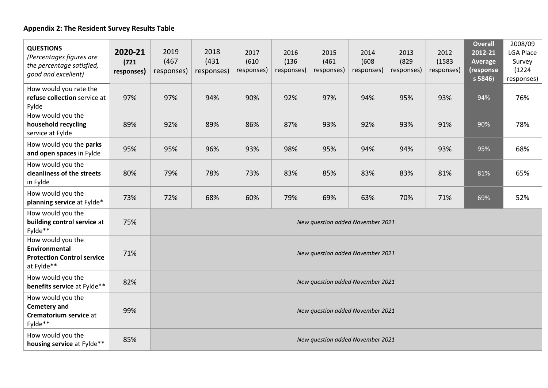## **Appendix 2: The Resident Survey Results Table**

| <b>QUESTIONS</b><br>(Percentages figures are<br>the percentage satisfied,<br>good and excellent) | 2020-21<br>(721)<br>responses) | 2019<br>(467)<br>responses)      | 2018<br>(431)<br>responses) | 2017<br>(610)<br>responses) | 2016<br>(136)<br>responses) | 2015<br>(461)<br>responses) | 2014<br>(608)<br>responses) | 2013<br>(829)<br>responses) | 2012<br>(1583)<br>responses) | <b>Overall</b><br>2012-21<br>Average<br>(response<br>s 5846 | 2008/09<br><b>LGA Place</b><br>Survey<br>(1224)<br>responses) |
|--------------------------------------------------------------------------------------------------|--------------------------------|----------------------------------|-----------------------------|-----------------------------|-----------------------------|-----------------------------|-----------------------------|-----------------------------|------------------------------|-------------------------------------------------------------|---------------------------------------------------------------|
| How would you rate the<br>refuse collection service at<br>Fylde                                  | 97%                            | 97%                              | 94%                         | 90%                         | 92%                         | 97%                         | 94%                         | 95%                         | 93%                          | 94%                                                         | 76%                                                           |
| How would you the<br>household recycling<br>service at Fylde                                     | 89%                            | 92%                              | 89%                         | 86%                         | 87%                         | 93%                         | 92%                         | 93%                         | 91%                          | 90%                                                         | 78%                                                           |
| How would you the parks<br>and open spaces in Fylde                                              | 95%                            | 95%                              | 96%                         | 93%                         | 98%                         | 95%                         | 94%                         | 94%                         | 93%                          | 95%                                                         | 68%                                                           |
| How would you the<br>cleanliness of the streets<br>in Fylde                                      | 80%                            | 79%                              | 78%                         | 73%                         | 83%                         | 85%                         | 83%                         | 83%                         | 81%                          | 81%                                                         | 65%                                                           |
| How would you the<br>planning service at Fylde*                                                  | 73%                            | 72%                              | 68%                         | 60%                         | 79%                         | 69%                         | 63%                         | 70%                         | 71%                          | 69%                                                         | 52%                                                           |
| How would you the<br>building control service at<br>Fylde**                                      | 75%                            | New question added November 2021 |                             |                             |                             |                             |                             |                             |                              |                                                             |                                                               |
| How would you the<br><b>Environmental</b><br><b>Protection Control service</b><br>at Fylde**     | 71%                            | New question added November 2021 |                             |                             |                             |                             |                             |                             |                              |                                                             |                                                               |
| How would you the<br>benefits service at Fylde**                                                 | 82%                            | New question added November 2021 |                             |                             |                             |                             |                             |                             |                              |                                                             |                                                               |
| How would you the<br><b>Cemetery and</b><br>Crematorium service at<br>Fylde**                    | 99%                            | New question added November 2021 |                             |                             |                             |                             |                             |                             |                              |                                                             |                                                               |
| How would you the<br>housing service at Fylde**                                                  | 85%                            | New question added November 2021 |                             |                             |                             |                             |                             |                             |                              |                                                             |                                                               |